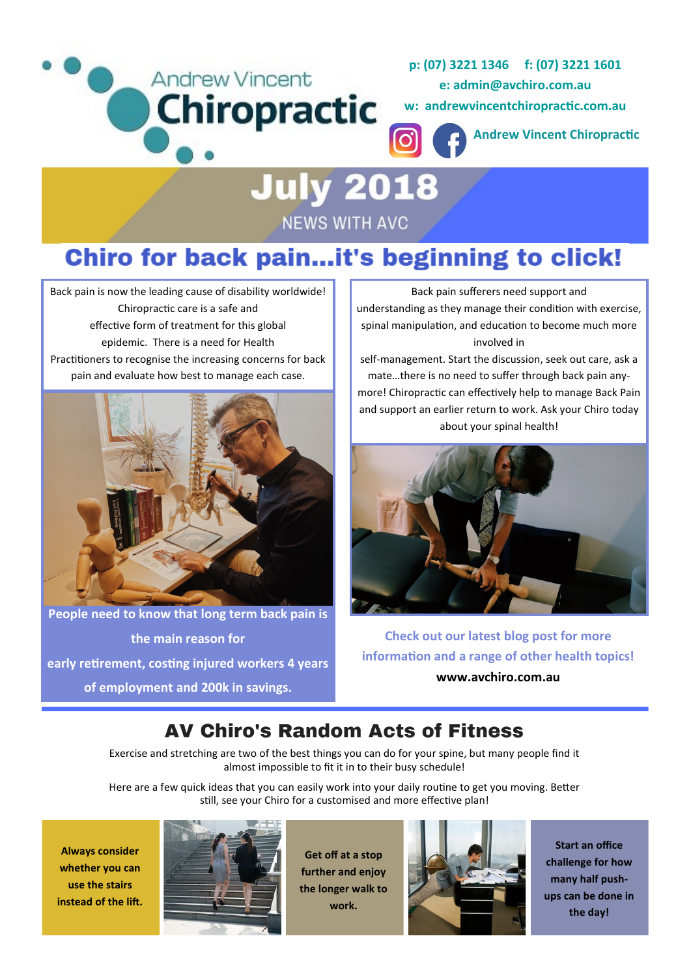



**w: andrewvincentchiropractic.com.au**

**Andrew Vincent Chiropractic**

# **July 2018 NEWS WITH AVC**

## Chiro for back pain...it's beginning to click!

Back pain is now the leading cause of disability worldwide! Chiropractic care is a safe and effective form of treatment for this global epidemic. There is a need for Health Practitioners to recognise the increasing concerns for back pain and evaluate how best to manage each case.



**People need to know that long term back pain is the main reason for early retirement, costing injured workers 4 years of employment and 200k in savings.**

Back pain sufferers need support and understanding as they manage their condition with exercise, spinal manipulation, and education to become much more involved in

self-management. Start the discussion, seek out care, ask a mate…there is no need to suffer through back pain anymore! Chiropractic can effectively help to manage Back Pain and support an earlier return to work. Ask your Chiro today about your spinal health!



**Check out our latest blog post for more information and a range of other health topics! www.avchiro.com.au**

### **AV Chiro's Random Acts of Fitness**

Exercise and stretching are two of the best things you can do for your spine, but many people find it almost impossible to fit it in to their busy schedule!

Here are a few quick ideas that you can easily work into your daily routine to get you moving. Better still, see your Chiro for a customised and more effective plan!

**Always consider whether you can use the stairs instead of the lift.**



**Get off at a stop further and enjoy the longer walk to work.**



**Start an office challenge for how many half pushups can be done in the day!**